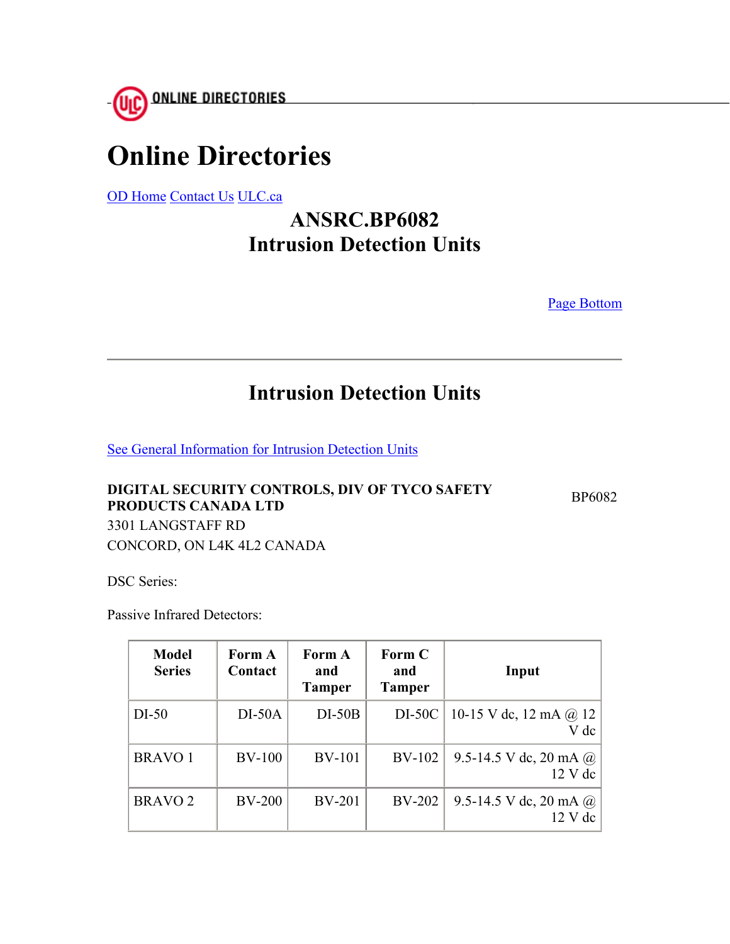

# **Online Directories**

OD Home Contact Us ULC.ca

## **ANSRC.BP6082 Intrusion Detection Units**

Page Bottom

### **Intrusion Detection Units**

See General Information for Intrusion Detection Units

#### **DIGITAL SECURITY CONTROLS, DIV OF TYCO SAFETY PRODUCTS CANADA LTD** BP6082 3301 LANGSTAFF RD CONCORD, ON L4K 4L2 CANADA

DSC Series:

Passive Infrared Detectors:

| <b>Model</b><br><b>Series</b> | Form A<br>Contact | Form A<br>and<br><b>Tamper</b> | Form C<br>and<br><b>Tamper</b> | Input                                              |
|-------------------------------|-------------------|--------------------------------|--------------------------------|----------------------------------------------------|
| $DI-50$                       | $DI-50A$          | $DI-50B$                       | DI-50C                         | 10-15 V dc, 12 mA $\omega$ 12<br>V dc              |
| <b>BRAVO 1</b>                | <b>BV-100</b>     | <b>BV-101</b>                  | BV-102                         | 9.5-14.5 V dc, 20 mA $\omega$<br>$12$ V dc         |
| <b>BRAVO 2</b>                | <b>BV-200</b>     | <b>BV-201</b>                  | <b>BV-202</b>                  | 9.5-14.5 V dc, 20 mA $\omega$<br>$12 \text{ V}$ dc |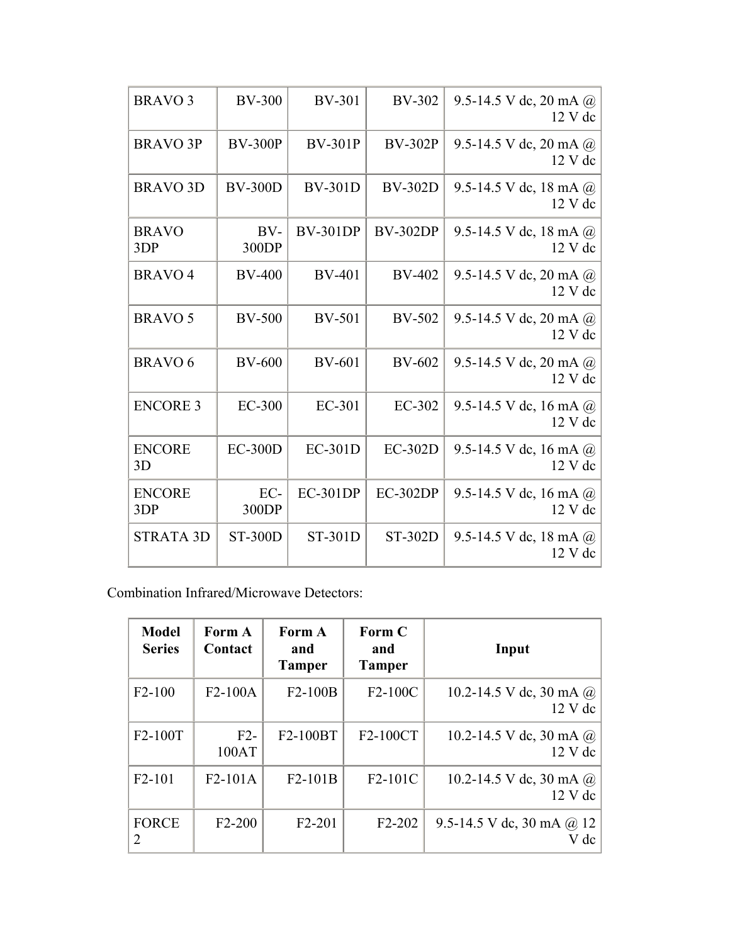| <b>BRAVO3</b>        | <b>BV-300</b>  | <b>BV-301</b>   | <b>BV-302</b>   | 9.5-14.5 V dc, 20 mA $@$<br>12 V dc      |
|----------------------|----------------|-----------------|-----------------|------------------------------------------|
| <b>BRAVO 3P</b>      | <b>BV-300P</b> | <b>BV-301P</b>  | <b>BV-302P</b>  | 9.5-14.5 V dc, 20 mA $@$<br>12 V dc      |
| <b>BRAVO 3D</b>      | <b>BV-300D</b> | <b>BV-301D</b>  | <b>BV-302D</b>  | 9.5-14.5 V dc, 18 mA $@$<br>12 V dc      |
| <b>BRAVO</b><br>3DP  | $BV-$<br>300DP | <b>BV-301DP</b> | <b>BV-302DP</b> | 9.5-14.5 V dc, 18 mA $\omega$<br>12 V dc |
| <b>BRAVO4</b>        | <b>BV-400</b>  | <b>BV-401</b>   | <b>BV-402</b>   | 9.5-14.5 V dc, 20 mA @<br>12 V dc        |
| <b>BRAVO 5</b>       | <b>BV-500</b>  | <b>BV-501</b>   | <b>BV-502</b>   | 9.5-14.5 V dc, 20 mA $@$<br>12 V dc      |
| <b>BRAVO 6</b>       | <b>BV-600</b>  | <b>BV-601</b>   | <b>BV-602</b>   | 9.5-14.5 V dc, 20 mA $@$<br>12 V dc      |
| <b>ENCORE 3</b>      | <b>EC-300</b>  | EC-301          | EC-302          | 9.5-14.5 V dc, 16 mA $@$<br>12 V dc      |
| <b>ENCORE</b><br>3D  | $EC-300D$      | EC-301D         | <b>EC-302D</b>  | 9.5-14.5 V dc, 16 mA $@$<br>12 V dc      |
| <b>ENCORE</b><br>3DP | EC-<br>300DP   | <b>EC-301DP</b> | <b>EC-302DP</b> | 9.5-14.5 V dc, 16 mA $@$<br>12 V dc      |
| <b>STRATA 3D</b>     | <b>ST-300D</b> | ST-301D         | ST-302D         | 9.5-14.5 V dc, 18 mA $@$<br>12 V dc      |

Combination Infrared/Microwave Detectors:

| <b>Model</b><br><b>Series</b> | Form A<br>Contact | Form A<br>and<br><b>Tamper</b> | Form C<br>and<br><b>Tamper</b> | Input                                     |
|-------------------------------|-------------------|--------------------------------|--------------------------------|-------------------------------------------|
| $F2-100$                      | $F2-100A$         | $F2-100B$                      | $F2-100C$                      | 10.2-14.5 V dc, 30 mA $\omega$<br>12 V dc |
| F2-100T                       | $F2-$<br>100AT    | F2-100BT                       | F2-100CT                       | 10.2-14.5 V dc, 30 mA $@$<br>$12$ V dc    |
| F <sub>2</sub> -101           | $F2-101A$         | $F2-101B$                      | F <sub>2</sub> -101C           | 10.2-14.5 V dc, 30 mA $@$<br>12 V dc      |
| <b>FORCE</b><br>2             | $F2-200$          | F <sub>2</sub> -201            | F2-202                         | 9.5-14.5 V dc, 30 mA $\omega$ 12<br>dc    |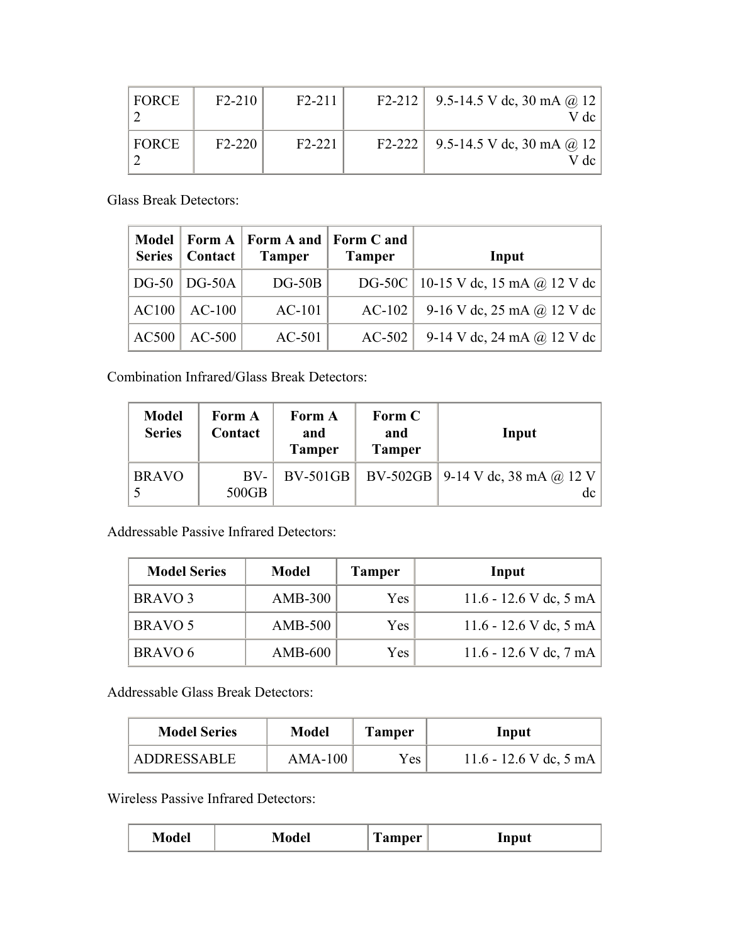| FORCE | $F2-210$ | $F2-211$ | F2-212   9.5-14.5 V dc, 30 mA @ 12  <br>V dc |
|-------|----------|----------|----------------------------------------------|
| FORCE | $F2-220$ | $F2-221$ | F2-222   9.5-14.5 V dc, 30 mA @ 12  <br>/ dc |

Glass Break Detectors:

|              | Series   Contact   | Model   Form A   Form A and  <br><b>Tamper</b> | Form C and<br><b>Tamper</b> | Input                                 |
|--------------|--------------------|------------------------------------------------|-----------------------------|---------------------------------------|
|              | $DG-50$   $DG-50A$ | $DG-50B$                                       |                             | DG-50C   10-15 V dc, 15 mA @ 12 V dc  |
| <b>AC100</b> | $AC-100$           | $AC-101$                                       |                             | $AC-102$   9-16 V dc, 25 mA @ 12 V dc |
| <b>AC500</b> | $AC-500$           | $AC-501$                                       |                             | $AC-502$   9-14 V dc, 24 mA @ 12 V dc |

Combination Infrared/Glass Break Detectors:

| <b>Model</b><br><b>Series</b> | Form A<br>Contact | Form A<br>and<br><b>Tamper</b> | Form C<br>and<br><b>Tamper</b> | Input                                      |
|-------------------------------|-------------------|--------------------------------|--------------------------------|--------------------------------------------|
| <b>BRAVO</b>                  | $BV-$<br>500GB    | $BV-501GB$                     |                                | BV-502GB   9-14 V dc, 38 mA @ 12 V  <br>dc |

Addressable Passive Infrared Detectors:

| <b>Model Series</b> | <b>Model</b>   | <b>Tamper</b> | Input                  |
|---------------------|----------------|---------------|------------------------|
| BRAVO <sub>3</sub>  | $AMB-300$      | Yes           | 11.6 - 12.6 V dc, 5 mA |
| BRAVO 5             | <b>AMB-500</b> | <b>Yes</b>    | 11.6 - 12.6 V dc, 5 mA |
| <b>BRAVO 6</b>      | $AMB-600$      | <b>Yes</b>    | 11.6 - 12.6 V dc, 7 mA |

Addressable Glass Break Detectors:

| <b>Model Series</b> | <b>Model</b> | <b>Tamper</b> | Input                  |
|---------------------|--------------|---------------|------------------------|
| ADDRESSABLE         | AMA-100      | Yes           | 11.6 - 12.6 V dc, 5 mA |

Wireless Passive Infrared Detectors:

| Model | del | <b>Tamper</b> | Input |
|-------|-----|---------------|-------|
|       |     |               |       |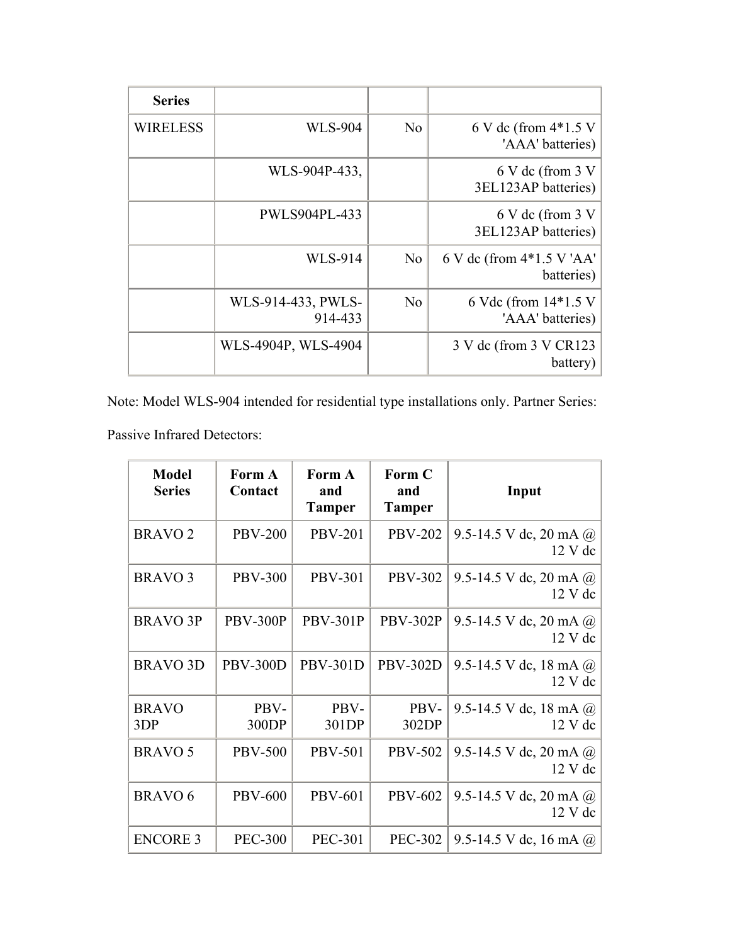| <b>Series</b>   |                               |                |                                            |
|-----------------|-------------------------------|----------------|--------------------------------------------|
| <b>WIRELESS</b> | <b>WLS-904</b>                | N <sub>0</sub> | 6 V dc (from $4*1.5$ V<br>'AAA' batteries) |
|                 | WLS-904P-433,                 |                | 6 V dc (from $3 V$<br>3EL123AP batteries)  |
|                 | <b>PWLS904PL-433</b>          |                | 6 V dc (from $3 V$<br>3EL123AP batteries)  |
|                 | <b>WLS-914</b>                | N <sub>o</sub> | 6 V dc (from 4*1.5 V 'AA'<br>batteries)    |
|                 | WLS-914-433, PWLS-<br>914-433 | N <sub>o</sub> | 6 Vdc (from $14*1.5$ V<br>'AAA' batteries) |
|                 | WLS-4904P, WLS-4904           |                | 3 V dc (from 3 V CR123)<br>battery)        |

Note: Model WLS-904 intended for residential type installations only. Partner Series:

Passive Infrared Detectors:

| <b>Model</b><br><b>Series</b> | Form A<br>Contact | Form A<br>and<br><b>Tamper</b> | Form C<br>and<br><b>Tamper</b> | Input                                         |
|-------------------------------|-------------------|--------------------------------|--------------------------------|-----------------------------------------------|
| <b>BRAVO<sub>2</sub></b>      | <b>PBV-200</b>    | <b>PBV-201</b>                 | <b>PBV-202</b>                 | 9.5-14.5 V dc, 20 mA $@$<br>$12 \text{ V}$ dc |
| <b>BRAVO3</b>                 | <b>PBV-300</b>    | <b>PBV-301</b>                 | <b>PBV-302</b>                 | 9.5-14.5 V dc, 20 mA $\omega$<br>12 V dc      |
| <b>BRAVO 3P</b>               | <b>PBV-300P</b>   | <b>PBV-301P</b>                | <b>PBV-302P</b>                | 9.5-14.5 V dc, 20 mA $\omega$<br>$12$ V dc    |
| <b>BRAVO 3D</b>               | <b>PBV-300D</b>   | <b>PBV-301D</b>                | <b>PBV-302D</b>                | 9.5-14.5 V dc, 18 mA $@$<br>$12V$ dc          |
| <b>BRAVO</b><br>3DP           | PBV-<br>300DP     | PBV-<br>301DP                  | PBV-<br>302DP                  | 9.5-14.5 V dc, 18 mA $@$<br>12 V dc           |
| <b>BRAVO 5</b>                | <b>PBV-500</b>    | <b>PBV-501</b>                 | <b>PBV-502</b>                 | 9.5-14.5 V dc, 20 mA $\omega$<br>12 V dc      |
| <b>BRAVO 6</b>                | <b>PBV-600</b>    | <b>PBV-601</b>                 | <b>PBV-602</b>                 | 9.5-14.5 V dc, 20 mA $@$<br>12 V dc           |
| <b>ENCORE 3</b>               | <b>PEC-300</b>    | <b>PEC-301</b>                 | <b>PEC-302</b>                 | 9.5-14.5 V dc, 16 mA $@$                      |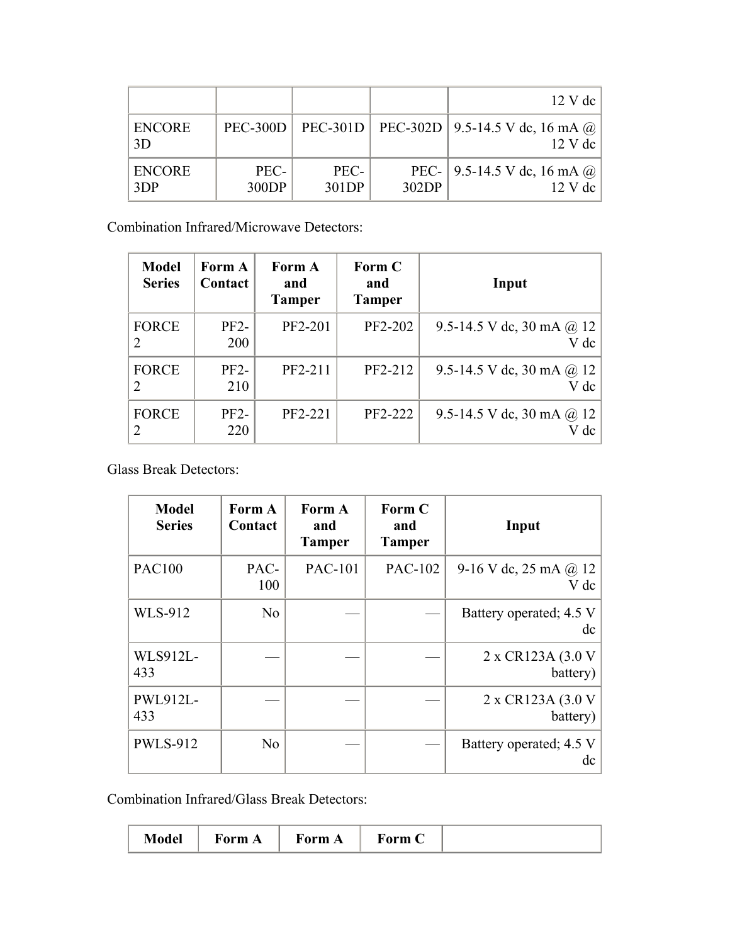|                      |                 |               |       | $12$ V dc                                                 |
|----------------------|-----------------|---------------|-------|-----------------------------------------------------------|
| <b>ENCORE</b><br>3D  | <b>PEC-300D</b> |               |       | PEC-301D   PEC-302D   9.5-14.5 V dc, 16 mA @<br>$12$ V dc |
| <b>ENCORE</b><br>3DP | PEC-<br>300DP   | PEC-<br>301DP | 302DP | PEC-   9.5-14.5 V dc, 16 mA $@$  <br>$12 \text{ V}$ dc    |

Combination Infrared/Microwave Detectors:

| <b>Model</b><br><b>Series</b> | Form A<br>Contact    | Form A<br>and<br>Tamper | Form C<br>and<br><b>Tamper</b> | Input                                    |
|-------------------------------|----------------------|-------------------------|--------------------------------|------------------------------------------|
| <b>FORCE</b><br>2             | $PF2-$<br><b>200</b> | PF2-201                 | PF2-202                        | 9.5-14.5 V dc, 30 mA $\omega$ 12<br>V dc |
| <b>FORCE</b><br>2             | $PF2-$<br>210        | PF2-211                 | PF2-212                        | 9.5-14.5 V dc, 30 mA $\omega$ 12<br>V dc |
| <b>FORCE</b><br>2             | $PF2-$<br>220        | PF2-221                 | PF2-222                        | 9.5-14.5 V dc, 30 mA $@$ 12<br>V dc      |

Glass Break Detectors:

| <b>Model</b><br><b>Series</b> | Form A<br>Contact | Form A<br>and<br><b>Tamper</b> | Form C<br>and<br><b>Tamper</b> | Input                                |
|-------------------------------|-------------------|--------------------------------|--------------------------------|--------------------------------------|
| <b>PAC100</b>                 | PAC-<br>100       | <b>PAC-101</b>                 | PAC-102                        | 9-16 V dc, 25 mA $\omega$ 12<br>V dc |
| <b>WLS-912</b>                | N <sub>0</sub>    |                                |                                | Battery operated; 4.5 V<br>dc        |
| <b>WLS912L-</b><br>433        |                   |                                |                                | 2 x CR123A $(3.0 V)$<br>battery)     |
| PWL912L-<br>433               |                   |                                |                                | 2 x CR123A $(3.0 V)$<br>battery)     |
| <b>PWLS-912</b>               | N <sub>0</sub>    |                                |                                | Battery operated; 4.5 V<br>dc        |

Combination Infrared/Glass Break Detectors:

| <b>NIQUEL</b> | ۱rm | 40rm A | 'orm C |  |
|---------------|-----|--------|--------|--|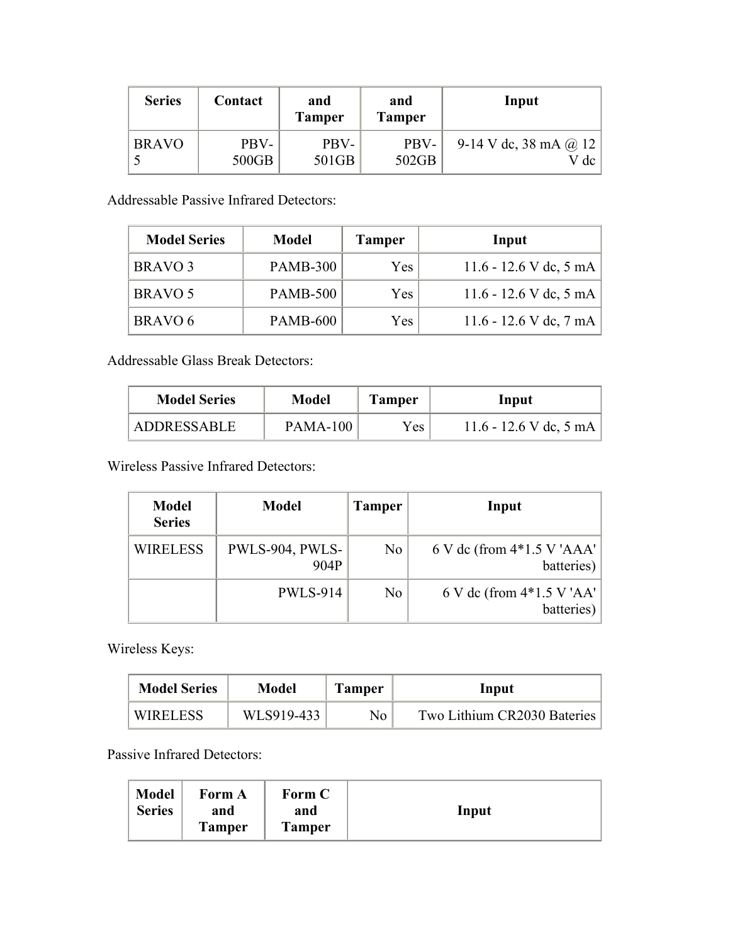| <b>Series</b> | Contact | and<br><b>Tamper</b> | and<br><b>Tamper</b> | Input                 |
|---------------|---------|----------------------|----------------------|-----------------------|
| <b>BRAVO</b>  | PBV-    | PBV-                 | PBV-                 | 9-14 V dc, 38 mA @ 12 |
|               | 500GB   | 501GB                | 502GB                | V dc                  |

Addressable Passive Infrared Detectors:

| <b>Model Series</b> | <b>Model</b>    | <b>Tamper</b> | Input                  |
|---------------------|-----------------|---------------|------------------------|
| BRAVO <sub>3</sub>  | <b>PAMB-300</b> | <b>Yes</b>    | 11.6 - 12.6 V dc, 5 mA |
| BRAVO 5             | <b>PAMB-500</b> | <b>Yes</b>    | 11.6 - 12.6 V dc, 5 mA |
| BRAVO 6             | <b>PAMB-600</b> | Yes           | 11.6 - 12.6 V dc, 7 mA |

Addressable Glass Break Detectors:

| <b>Model Series</b> | Model           | <b>Tamper</b> | Input                  |
|---------------------|-----------------|---------------|------------------------|
| <b>ADDRESSABLE</b>  | <b>PAMA-100</b> | <b>Yes</b>    | 11.6 - 12.6 V dc, 5 mA |

Wireless Passive Infrared Detectors:

| <b>Model</b><br><b>Series</b> | <b>Model</b>            | <b>Tamper</b>  | Input                                        |
|-------------------------------|-------------------------|----------------|----------------------------------------------|
| <b>WIRELESS</b>               | PWLS-904, PWLS-<br>904P | No.            | $6$ V dc (from $4*1.5$ V 'AAA'<br>batteries) |
|                               | <b>PWLS-914</b>         | N <sub>0</sub> | 6 V dc (from $4*1.5$ V 'AA'  <br>batteries)  |

Wireless Keys:

| <b>Model Series</b> | Model      | <b>Tamper</b> | Input                       |
|---------------------|------------|---------------|-----------------------------|
| <b>WIRELESS</b>     | WLS919-433 | No.           | Two Lithium CR2030 Bateries |

Passive Infrared Detectors:

| <b>Model</b><br><b>Series</b> | Form A<br>and<br><b>Tamper</b> | Form C<br>and<br><b>Tamper</b> | Input |
|-------------------------------|--------------------------------|--------------------------------|-------|
|-------------------------------|--------------------------------|--------------------------------|-------|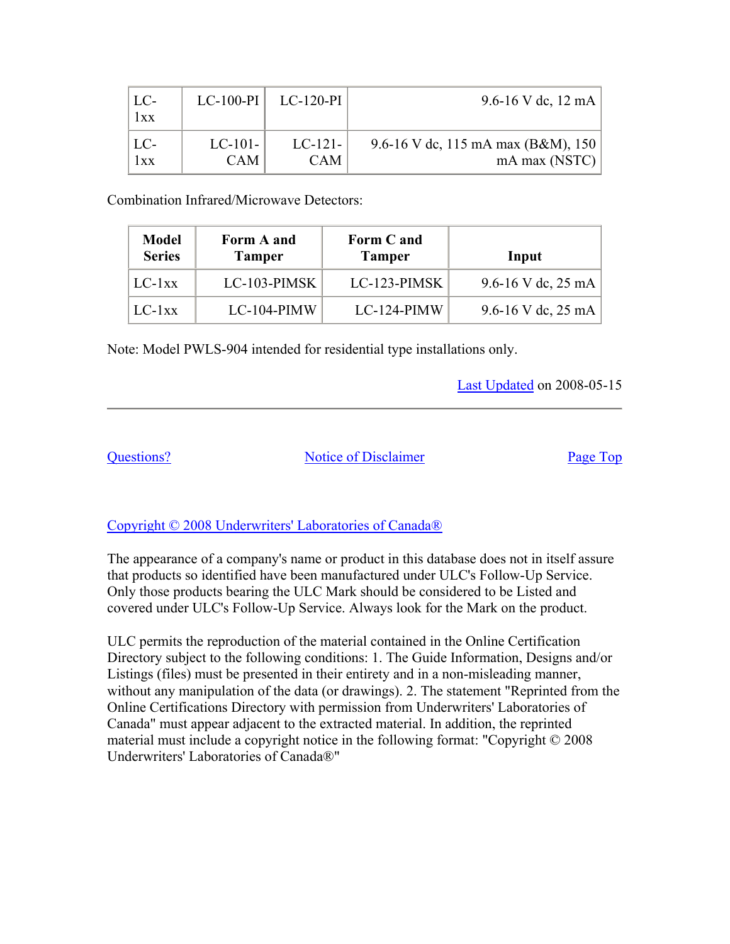| LC<br>1xx | $LC-100-PI$ | $LC-120-PI$ | 9.6-16 V dc, 12 mA                 |
|-----------|-------------|-------------|------------------------------------|
| $  LC-$   | $LC-101-$   | $LC-121-$   | 9.6-16 V dc, 115 mA max (B&M), 150 |
| 1xx       | <b>CAM</b>  | <b>CAM</b>  | mA max $(NSTC)$                    |

Combination Infrared/Microwave Detectors:

| <b>Model</b><br><b>Series</b> | Form A and<br><b>Tamper</b> | Form C and<br><b>Tamper</b> | Input                        |
|-------------------------------|-----------------------------|-----------------------------|------------------------------|
| $LC-1xx$                      | $LC-103-PIMSK$              | LC-123-PIMSK                | 9.6-16 V dc, $25 \text{ mA}$ |
| $LC-1xx$                      | $LC-104-PIMW$               | $LC-124-PIMW$               | 9.6-16 V dc, $25 \text{ mA}$ |

Note: Model PWLS-904 intended for residential type installations only.

Last Updated on 2008-05-15

Questions? Notice of Disclaimer Page Top

#### Copyright © 2008 Underwriters' Laboratories of Canada®

The appearance of a company's name or product in this database does not in itself assure that products so identified have been manufactured under ULC's Follow-Up Service. Only those products bearing the ULC Mark should be considered to be Listed and covered under ULC's Follow-Up Service. Always look for the Mark on the product.

ULC permits the reproduction of the material contained in the Online Certification Directory subject to the following conditions: 1. The Guide Information, Designs and/or Listings (files) must be presented in their entirety and in a non-misleading manner, without any manipulation of the data (or drawings). 2. The statement "Reprinted from the Online Certifications Directory with permission from Underwriters' Laboratories of Canada" must appear adjacent to the extracted material. In addition, the reprinted material must include a copyright notice in the following format: "Copyright © 2008 Underwriters' Laboratories of Canada®"